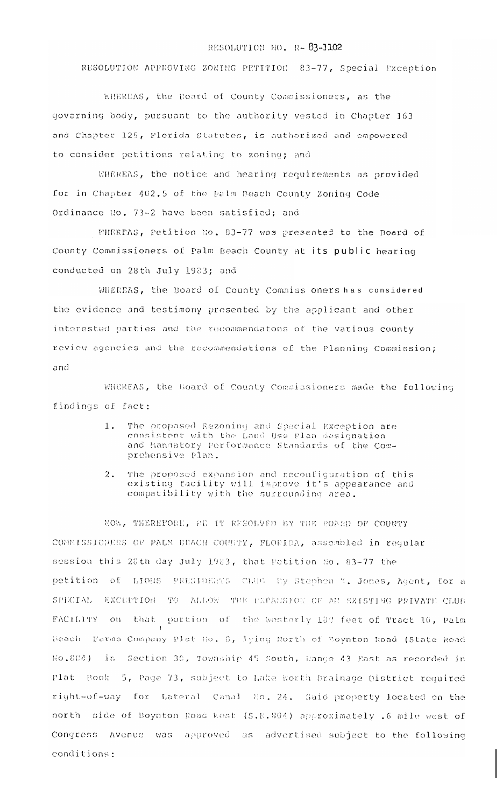## RESOLUTION NO. R-83-1102

## RESOLUTION APPROVING ZONING PETITION 83-77, Special Exception

WHEREAS, the Board of County Commissioners, as the governing body, pursuant to the authority vested in Chapter 163 and Chapter 125, Florida Statutes, is authorized and empowered to consider petitions relating to zoning; and

WHEREAS, the notice and hearing requirements as provided for in Chapter 402.5 of the Palm Beach County Zoning Code Ordinance No. 73-2 have been satisfied; and

WHEREAS, Petition No. 83-77 was presented to the Board of County Commissioners of Palm Beach County at its public hearing conducted on 28th July 1983; and

WHEREAS, the Board of County Commiss oners has considered the evidence and testimony presented by the applicant and other interested parties and the recommendatons of the various county review agencies and the recommendations of the Planning Commission; and

WHEREAS, the Board of County Commissioners made the following findings of fact:

- The proposed Rezoning and Special Exception are  $1<sub>1</sub>$ consistent with the Land Use Plan designation and Mandatory Performance Standards of the Comprehensive Plan.
- The proposed expansion and reconfiguration of this  $2.1$ existing facility will improve it's appearance and compatibility with the surrounding area.

NOW, THEREFORE, BE IT RESOLVED BY THE BOARD OF COUNTY COMMISSICHERS OF PALM BEACH COUNTY, FLORIDA, assembled in regular session this 28th day July 1983, that Petition No. 83-77 the petition of LIONS PRESIDENTS CLON by Stephen ". Jones, Agent, for a SPECIAL EXCEPTION TO ALLOW THE EXPANSION OF AN SXISTIMG PRIVATE CLUB **FACILITY** that portion of the Westerly 189 feet of Tract 10, Palm  $_{\text{OD}}$ Beach Farms Company Plat No. 8, lying North of Boynton Road (State Road No.804) in Section 30, Township 45 South, Range 43 East as recorded in Plat Book 5, Page 73, subject to Lake Worth Drainage District required right-of-way for Lateral Canal Ho. 24. Said property located on the north side of Boynton Road West (S.E.804) approximately .6 mile west of Congress Avenue was approved as advertised subject to the following conditions: